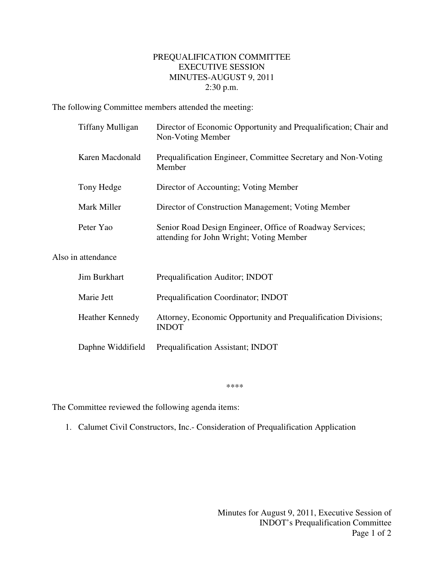## PREQUALIFICATION COMMITTEE EXECUTIVE SESSION MINUTES-AUGUST 9, 2011 2:30 p.m.

The following Committee members attended the meeting:

| <b>Tiffany Mulligan</b> | Director of Economic Opportunity and Prequalification; Chair and<br>Non-Voting Member                |
|-------------------------|------------------------------------------------------------------------------------------------------|
| Karen Macdonald         | Prequalification Engineer, Committee Secretary and Non-Voting<br>Member                              |
| Tony Hedge              | Director of Accounting; Voting Member                                                                |
| Mark Miller             | Director of Construction Management; Voting Member                                                   |
| Peter Yao               | Senior Road Design Engineer, Office of Roadway Services;<br>attending for John Wright; Voting Member |
| Also in attendance      |                                                                                                      |
| <b>Jim Burkhart</b>     | Prequalification Auditor; INDOT                                                                      |
| Marie Jett              | Prequalification Coordinator; INDOT                                                                  |
| <b>Heather Kennedy</b>  | Attorney, Economic Opportunity and Prequalification Divisions;<br><b>INDOT</b>                       |
| Daphne Widdifield       | Prequalification Assistant; INDOT                                                                    |

\*\*\*\*

The Committee reviewed the following agenda items:

1. Calumet Civil Constructors, Inc.- Consideration of Prequalification Application